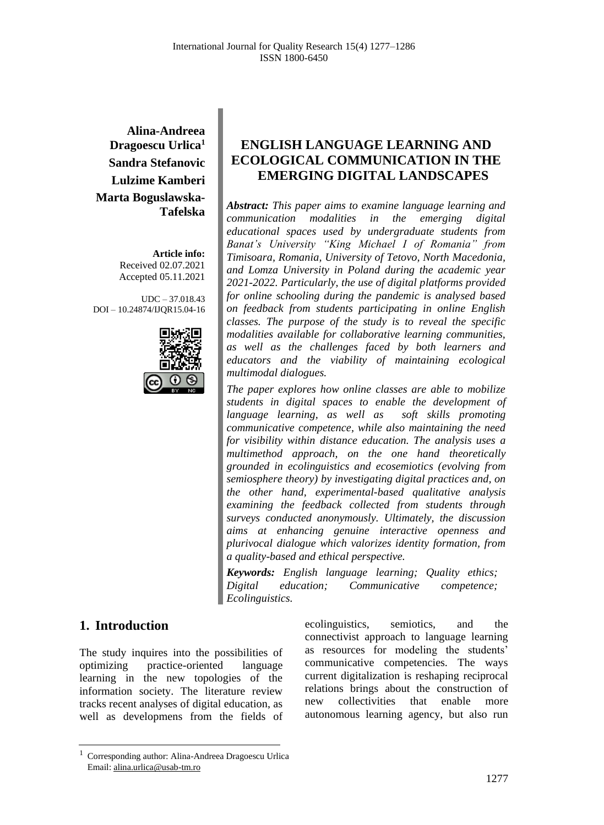**Alina-Andreea Dragoescu Urlica<sup>1</sup> Sandra Stefanovic Lulzime Kamberi Marta Boguslawska-Tafelska**

> **Article info:** Received 02.07.2021 Accepted 05.11.2021

UDC – 37.018.43 DOI – 10.24874/IJQR15.04-16



# **1. Introduction**

The study inquires into the possibilities of optimizing practice-oriented language learning in the new topologies of the information society. The literature review tracks recent analyses of digital education, as well as developmens from the fields of ecolinguistics, semiotics, and the connectivist approach to language learning as resources for modeling the students' communicative competencies. The ways current digitalization is reshaping reciprocal relations brings about the construction of new collectivities that enable more autonomous learning agency, but also run

# **ENGLISH LANGUAGE LEARNING AND ECOLOGICAL COMMUNICATION IN THE EMERGING DIGITAL LANDSCAPES**

*Abstract: This paper aims to examine language learning and communication modalities in the emerging digital educational spaces used by undergraduate students from Banat's University "King Michael I of Romania" from Timisoara, Romania, University of Tetovo, North Macedonia, and Lomza University in Poland during the academic year 2021-2022. Particularly, the use of digital platforms provided for online schooling during the pandemic is analysed based on feedback from students participating in online English classes. The purpose of the study is to reveal the specific modalities available for collaborative learning communities, as well as the challenges faced by both learners and educators and the viability of maintaining ecological multimodal dialogues.* 

*The paper explores how online classes are able to mobilize students in digital spaces to enable the development of language learning, as well as soft skills promoting communicative competence, while also maintaining the need for visibility within distance education. The analysis uses a multimethod approach, on the one hand theoretically grounded in ecolinguistics and ecosemiotics (evolving from semiosphere theory) by investigating digital practices and, on the other hand, experimental-based qualitative analysis examining the feedback collected from students through surveys conducted anonymously. Ultimately, the discussion aims at enhancing genuine interactive openness and plurivocal dialogue which valorizes identity formation, from a quality-based and ethical perspective.*

*Keywords: English language learning; Quality ethics; Digital education; Communicative competence; Ecolinguistics.*

<sup>1</sup> Corresponding author: Alina-Andreea Dragoescu Urlica Email: alina.urlica@usab-tm.ro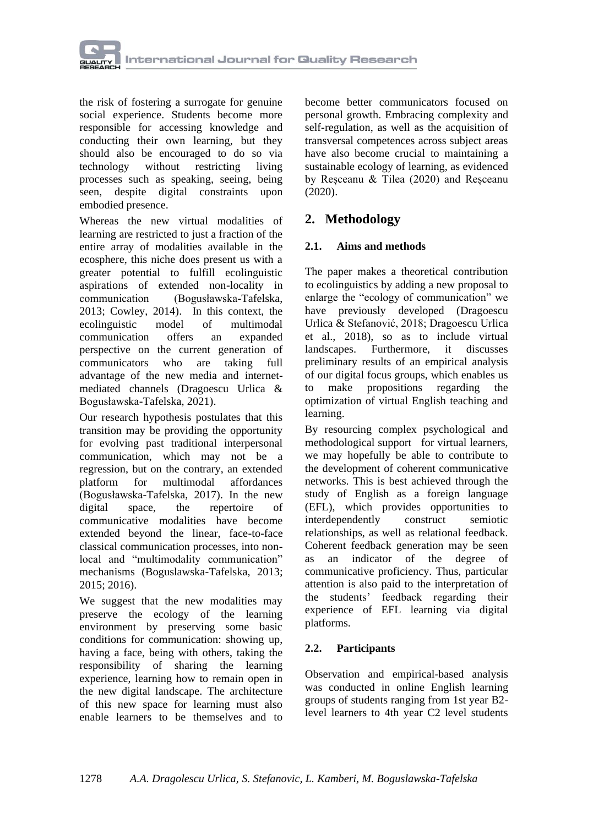

the risk of fostering a surrogate for genuine social experience. Students become more responsible for accessing knowledge and conducting their own learning, but they should also be encouraged to do so via technology without restricting living processes such as speaking, seeing, being seen, despite digital constraints upon embodied presence.

Whereas the new virtual modalities of learning are restricted to just a fraction of the entire array of modalities available in the ecosphere, this niche does present us with a greater potential to fulfill ecolinguistic aspirations of extended non-locality in communication (Bogusławska-Tafelska, 2013; Cowley, 2014). In this context, the ecolinguistic model of multimodal communication offers an expanded perspective on the current generation of communicators who are taking full advantage of the new media and internetmediated channels (Dragoescu Urlica & Bogusławska-Tafelska, 2021).

Our research hypothesis postulates that this transition may be providing the opportunity for evolving past traditional interpersonal communication, which may not be a regression, but on the contrary, an extended platform for multimodal affordances (Bogusławska-Tafelska, 2017). In the new digital space, the repertoire of communicative modalities have become extended beyond the linear, face-to-face classical communication processes, into nonlocal and "multimodality communication" mechanisms (Boguslawska-Tafelska, 2013; 2015; 2016).

We suggest that the new modalities may preserve the ecology of the learning environment by preserving some basic conditions for communication: showing up, having a face, being with others, taking the responsibility of sharing the learning experience, learning how to remain open in the new digital landscape. The architecture of this new space for learning must also enable learners to be themselves and to

become better communicators focused on personal growth. Embracing complexity and self-regulation, as well as the acquisition of transversal competences across subject areas have also become crucial to maintaining a sustainable ecology of learning, as evidenced by Reșceanu & Tilea (2020) and Reșceanu (2020).

# **2. Methodology**

### **2.1. Aims and methods**

The paper makes a theoretical contribution to ecolinguistics by adding a new proposal to enlarge the "ecology of communication" we have previously developed (Dragoescu Urlica & Stefanović, 2018; Dragoescu Urlica et al., 2018), so as to include virtual landscapes. Furthermore, it discusses preliminary results of an empirical analysis of our digital focus groups, which enables us to make propositions regarding the optimization of virtual English teaching and learning.

By resourcing complex psychological and methodological support for virtual learners, we may hopefully be able to contribute to the development of coherent communicative networks. This is best achieved through the study of English as a foreign language (EFL), which provides opportunities to interdependently construct semiotic relationships, as well as relational feedback. Coherent feedback generation may be seen as an indicator of the degree of communicative proficiency. Thus, particular attention is also paid to the interpretation of the students' feedback regarding their experience of EFL learning via digital platforms.

### **2.2. Participants**

Observation and empirical-based analysis was conducted in online English learning groups of students ranging from 1st year B2 level learners to 4th year C2 level students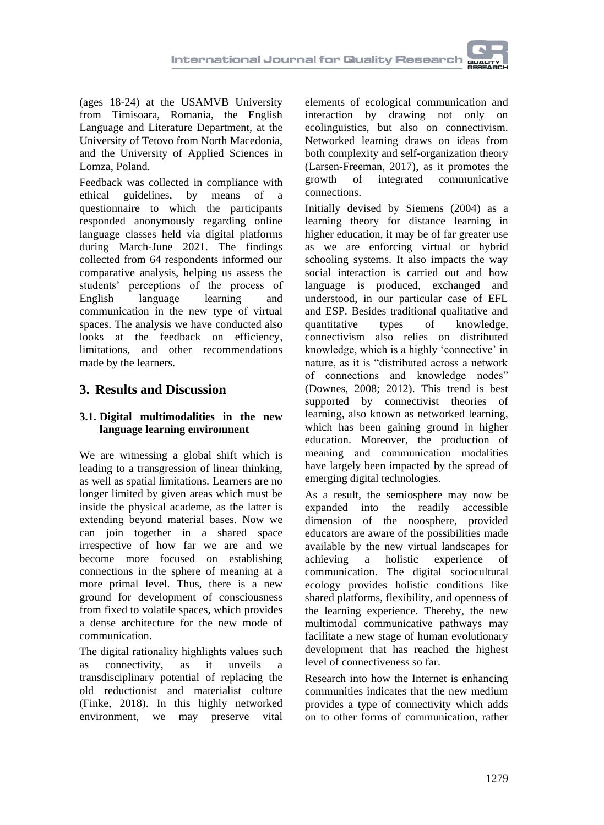(ages 18-24) at the USAMVB University from Timisoara, Romania, the English Language and Literature Department, at the University of Tetovo from North Macedonia, and the University of Applied Sciences in Lomza, Poland.

Feedback was collected in compliance with ethical guidelines, by means of a questionnaire to which the participants responded anonymously regarding online language classes held via digital platforms during March-June 2021. The findings collected from 64 respondents informed our comparative analysis, helping us assess the students' perceptions of the process of English language learning and communication in the new type of virtual spaces. The analysis we have conducted also looks at the feedback on efficiency, limitations, and other recommendations made by the learners.

# **3. Results and Discussion**

### **3.1. Digital multimodalities in the new language learning environment**

We are witnessing a global shift which is leading to a transgression of linear thinking, as well as spatial limitations. Learners are no longer limited by given areas which must be inside the physical academe, as the latter is extending beyond material bases. Now we can join together in a shared space irrespective of how far we are and we become more focused on establishing connections in the sphere of meaning at a more primal level. Thus, there is a new ground for development of consciousness from fixed to volatile spaces, which provides a dense architecture for the new mode of communication.

The digital rationality highlights values such as connectivity, as it unveils a transdisciplinary potential of replacing the old reductionist and materialist culture (Finke, 2018). In this highly networked environment, we may preserve vital

elements of ecological communication and interaction by drawing not only on ecolinguistics, but also on connectivism. Networked learning draws on ideas from both complexity and self-organization theory (Larsen-Freeman, 2017), as it promotes the growth of integrated communicative connections.

Initially devised by Siemens (2004) as a learning theory for distance learning in higher education, it may be of far greater use as we are enforcing virtual or hybrid schooling systems. It also impacts the way social interaction is carried out and how language is produced, exchanged and understood, in our particular case of EFL and ESP. Besides traditional qualitative and quantitative types of knowledge, connectivism also relies on distributed knowledge, which is a highly 'connective' in nature, as it is "distributed across a network of connections and knowledge nodes" (Downes, 2008; 2012). This trend is best supported by connectivist theories of learning, also known as networked learning, which has been gaining ground in higher education. Moreover, the production of meaning and communication modalities have largely been impacted by the spread of emerging digital technologies.

As a result, the semiosphere may now be expanded into the readily accessible dimension of the noosphere, provided educators are aware of the possibilities made available by the new virtual landscapes for achieving a holistic experience of communication. The digital sociocultural ecology provides holistic conditions like shared platforms, flexibility, and openness of the learning experience. Thereby, the new multimodal communicative pathways may facilitate a new stage of human evolutionary development that has reached the highest level of connectiveness so far.

Research into how the Internet is enhancing communities indicates that the new medium provides a type of connectivity which adds on to other forms of communication, rather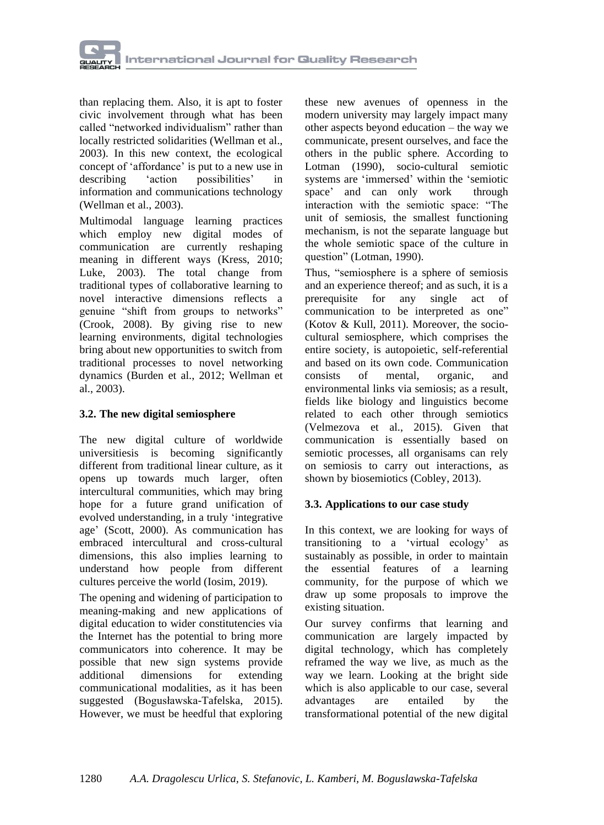

than replacing them. Also, it is apt to foster civic involvement through what has been called "networked individualism" rather than locally restricted solidarities (Wellman et al., 2003). In this new context, the ecological concept of 'affordance' is put to a new use in describing 'action possibilities' in information and communications technology (Wellman et al., 2003).

Multimodal language learning practices which employ new digital modes of communication are currently reshaping meaning in different ways (Kress, 2010; Luke, 2003). The total change from traditional types of collaborative learning to novel interactive dimensions reflects a genuine "shift from groups to networks" (Crook, 2008). By giving rise to new learning environments, digital technologies bring about new opportunities to switch from traditional processes to novel networking dynamics (Burden et al., 2012; Wellman et al., 2003).

#### **3.2. The new digital semiosphere**

The new digital culture of worldwide universitiesis is becoming significantly different from traditional linear culture, as it opens up towards much larger, often intercultural communities, which may bring hope for a future grand unification of evolved understanding, in a truly 'integrative age' (Scott, 2000). As communication has embraced intercultural and cross-cultural dimensions, this also implies learning to understand how people from different cultures perceive the world (Iosim, 2019).

The opening and widening of participation to meaning-making and new applications of digital education to wider constitutencies via the Internet has the potential to bring more communicators into coherence. It may be possible that new sign systems provide additional dimensions for extending communicational modalities, as it has been suggested (Bogusławska-Tafelska, 2015). However, we must be heedful that exploring

these new avenues of openness in the modern university may largely impact many other aspects beyond education – the way we communicate, present ourselves, and face the others in the public sphere. According to Lotman (1990), socio-cultural semiotic systems are 'immersed' within the 'semiotic space' and can only work through interaction with the semiotic space: "The unit of semiosis, the smallest functioning mechanism, is not the separate language but the whole semiotic space of the culture in question" (Lotman, 1990).

Thus, "semiosphere is a sphere of semiosis and an experience thereof; and as such, it is a prerequisite for any single act of communication to be interpreted as one" (Kotov & Kull, 2011). Moreover, the sociocultural semiosphere, which comprises the entire society, is autopoietic, self-referential and based on its own code. Communication consists of mental, organic, and environmental links via semiosis; as a result, fields like biology and linguistics become related to each other through semiotics (Velmezova et al., 2015). Given that communication is essentially based on semiotic processes, all organisams can rely on semiosis to carry out interactions, as shown by biosemiotics (Cobley, 2013).

#### **3.3. Applications to our case study**

In this context, we are looking for ways of transitioning to a 'virtual ecology' as sustainably as possible, in order to maintain the essential features of a learning community, for the purpose of which we draw up some proposals to improve the existing situation.

Our survey confirms that learning and communication are largely impacted by digital technology, which has completely reframed the way we live, as much as the way we learn. Looking at the bright side which is also applicable to our case, several advantages are entailed by the transformational potential of the new digital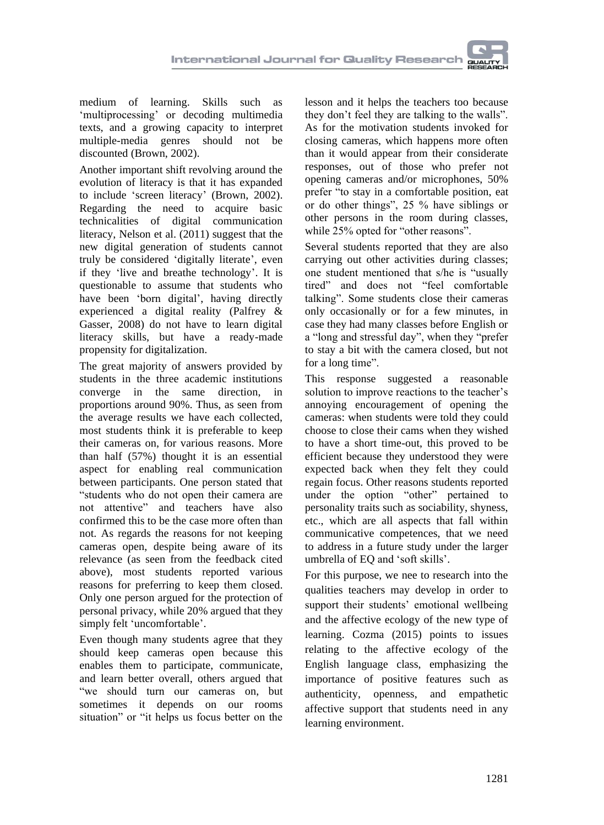medium of learning. Skills such as 'multiprocessing' or decoding multimedia texts, and a growing capacity to interpret multiple-media genres should not be discounted (Brown, 2002).

Another important shift revolving around the evolution of literacy is that it has expanded to include 'screen literacy' (Brown, 2002). Regarding the need to acquire basic technicalities of digital communication literacy, Nelson et al. (2011) suggest that the new digital generation of students cannot truly be considered 'digitally literate', even if they 'live and breathe technology'. It is questionable to assume that students who have been 'born digital', having directly experienced a digital reality (Palfrey & Gasser, 2008) do not have to learn digital literacy skills, but have a ready-made propensity for digitalization.

The great majority of answers provided by students in the three academic institutions converge in the same direction, in proportions around 90%. Thus, as seen from the average results we have each collected, most students think it is preferable to keep their cameras on, for various reasons. More than half (57%) thought it is an essential aspect for enabling real communication between participants. One person stated that "students who do not open their camera are not attentive" and teachers have also confirmed this to be the case more often than not. As regards the reasons for not keeping cameras open, despite being aware of its relevance (as seen from the feedback cited above), most students reported various reasons for preferring to keep them closed. Only one person argued for the protection of personal privacy, while 20% argued that they simply felt 'uncomfortable'.

Even though many students agree that they should keep cameras open because this enables them to participate, communicate, and learn better overall, others argued that "we should turn our cameras on, but sometimes it depends on our rooms situation" or "it helps us focus better on the

lesson and it helps the teachers too because they don't feel they are talking to the walls". As for the motivation students invoked for closing cameras, which happens more often than it would appear from their considerate responses, out of those who prefer not opening cameras and/or microphones, 50% prefer "to stay in a comfortable position, eat or do other things", 25 % have siblings or other persons in the room during classes, while 25% opted for "other reasons".

Several students reported that they are also carrying out other activities during classes; one student mentioned that s/he is "usually tired" and does not "feel comfortable talking". Some students close their cameras only occasionally or for a few minutes, in case they had many classes before English or a "long and stressful day", when they "prefer to stay a bit with the camera closed, but not for a long time".

This response suggested a reasonable solution to improve reactions to the teacher's annoying encouragement of opening the cameras: when students were told they could choose to close their cams when they wished to have a short time-out, this proved to be efficient because they understood they were expected back when they felt they could regain focus. Other reasons students reported under the option "other" pertained to personality traits such as sociability, shyness, etc., which are all aspects that fall within communicative competences, that we need to address in a future study under the larger umbrella of EQ and 'soft skills'.

For this purpose, we nee to research into the qualities teachers may develop in order to support their students' emotional wellbeing and the affective ecology of the new type of learning. Cozma (2015) points to issues relating to the affective ecology of the English language class, emphasizing the importance of positive features such as authenticity, openness, and empathetic affective support that students need in any learning environment.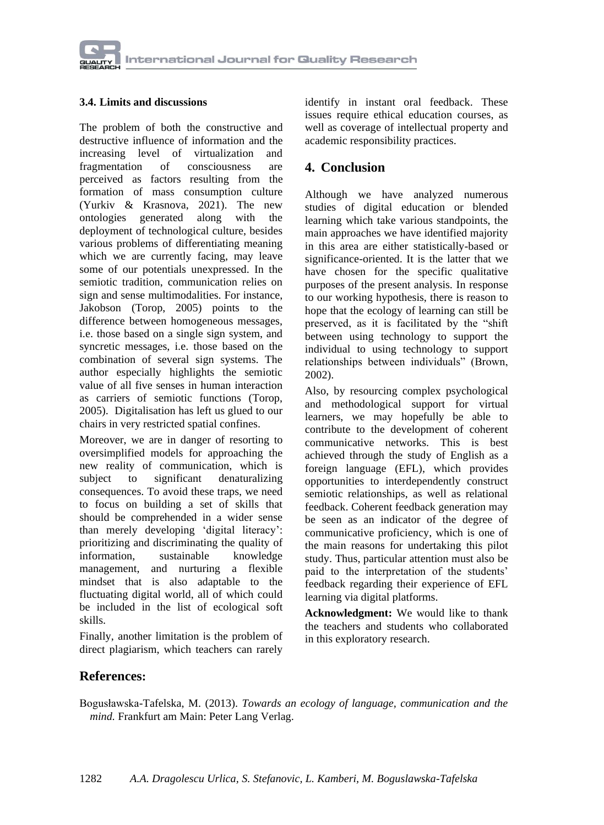#### **3.4. Limits and discussions**

The problem of both the constructive and destructive influence of information and the increasing level of virtualization and fragmentation of consciousness are perceived as factors resulting from the formation of mass consumption culture (Yurkiv & Krasnova, 2021). The new ontologies generated along with the deployment of technological culture, besides various problems of differentiating meaning which we are currently facing, may leave some of our potentials unexpressed. In the semiotic tradition, communication relies on sign and sense multimodalities. For instance, Jakobson (Torop, 2005) points to the difference between homogeneous messages, i.e. those based on a single sign system, and syncretic messages, i.e. those based on the combination of several sign systems. The author especially highlights the semiotic value of all five senses in human interaction as carriers of semiotic functions (Torop, 2005). Digitalisation has left us glued to our chairs in very restricted spatial confines.

Moreover, we are in danger of resorting to oversimplified models for approaching the new reality of communication, which is subject to significant denaturalizing consequences. To avoid these traps, we need to focus on building a set of skills that should be comprehended in a wider sense than merely developing 'digital literacy': prioritizing and discriminating the quality of information, sustainable knowledge management, and nurturing a flexible mindset that is also adaptable to the fluctuating digital world, all of which could be included in the list of ecological soft skills.

Finally, another limitation is the problem of direct plagiarism, which teachers can rarely identify in instant oral feedback. These issues require ethical education courses, as well as coverage of intellectual property and academic responsibility practices.

## **4. Conclusion**

Although we have analyzed numerous studies of digital education or blended learning which take various standpoints, the main approaches we have identified majority in this area are either statistically-based or significance-oriented. It is the latter that we have chosen for the specific qualitative purposes of the present analysis. In response to our working hypothesis, there is reason to hope that the ecology of learning can still be preserved, as it is facilitated by the "shift between using technology to support the individual to using technology to support relationships between individuals" (Brown, 2002).

Also, by resourcing complex psychological and methodological support for virtual learners, we may hopefully be able to contribute to the development of coherent communicative networks. This is best achieved through the study of English as a foreign language (EFL), which provides opportunities to interdependently construct semiotic relationships, as well as relational feedback. Coherent feedback generation may be seen as an indicator of the degree of communicative proficiency, which is one of the main reasons for undertaking this pilot study. Thus, particular attention must also be paid to the interpretation of the students' feedback regarding their experience of EFL learning via digital platforms.

**Acknowledgment:** We would like to thank the teachers and students who collaborated in this exploratory research.

### **References:**

Bogusławska-Tafelska, M. (2013). *Towards an ecology of language, communication and the mind.* Frankfurt am Main: Peter Lang Verlag.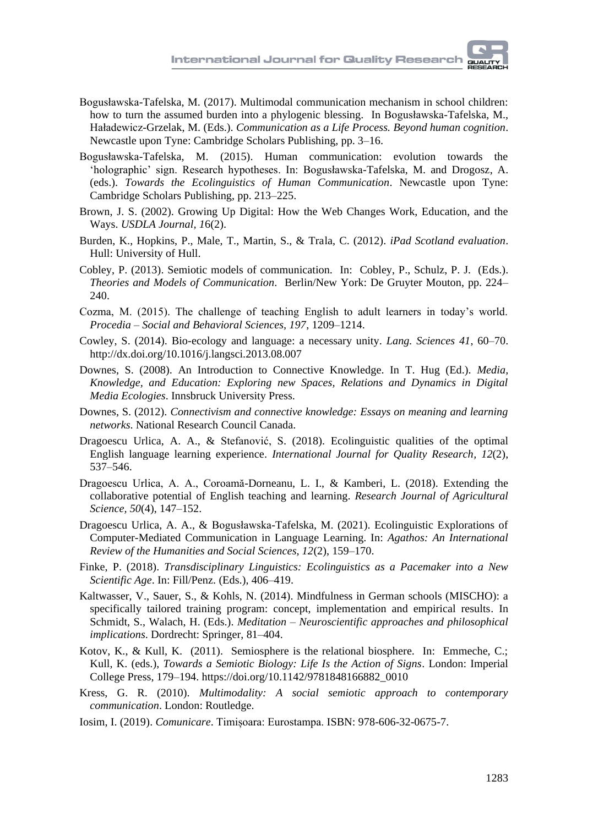- Bogusławska-Tafelska, M. (2017). Multimodal communication mechanism in school children: how to turn the assumed burden into a phylogenic blessing. In Bogusławska-Tafelska, M., Haładewicz-Grzelak, M. (Eds.). *Communication as a Life Process. Beyond human cognition*. Newcastle upon Tyne: Cambridge Scholars Publishing, pp. 3–16.
- Bogusławska-Tafelska, M. (2015). Human communication: evolution towards the 'holographic' sign. Research hypotheses. In: Bogusławska-Tafelska, M. and Drogosz, A. (eds.). *Towards the Ecolinguistics of Human Communication*. Newcastle upon Tyne: Cambridge Scholars Publishing, pp. 213–225.
- Brown, J. S. (2002). Growing Up Digital: How the Web Changes Work, Education, and the Ways. *USDLA Journal, 1*6(2).
- Burden, K., Hopkins, P., Male, T., Martin, S., & Trala, C. (2012). *iPad Scotland evaluation*. Hull: University of Hull.
- Cobley, P. (2013). Semiotic models of communication. In: Cobley, P., Schulz, P. J. (Eds.). *Theories and Models of Communication*. Berlin/New York: De Gruyter Mouton, pp. 224– 240.
- Cozma, M. (2015). The challenge of teaching English to adult learners in today's world. *Procedia – Social and Behavioral Sciences, 197*, 1209–1214.
- Cowley, S. (2014). Bio-ecology and language: a necessary unity. *Lang. Sciences 41*, 60–70. <http://dx.doi.org/10.1016/j.langsci.2013.08.007>
- Downes, S. (2008). An Introduction to Connective Knowledge. In T. Hug (Ed.). *Media, Knowledge, and Education: Exploring new Spaces, Relations and Dynamics in Digital Media Ecologies*. Innsbruck University Press.
- Downes, S. (2012). *Connectivism and connective knowledge: Essays on meaning and learning networks*. National Research Council Canada.
- Dragoescu Urlica, A. A., & Stefanović, S. (2018). Ecolinguistic qualities of the optimal English language learning experience. *International Journal for Quality Research, 12*(2), 537–546.
- Dragoescu Urlica, A. A., Coroamă-Dorneanu, L. I., & Kamberi, L. (2018). Extending the collaborative potential of English teaching and learning. *Research Journal of Agricultural Science, 50*(4), 147–152.
- Dragoescu Urlica, A. A., & Bogusławska-Tafelska, M. (2021). Ecolinguistic Explorations of Computer-Mediated Communication in Language Learning. In: *Agathos: An International Review of the Humanities and Social Sciences, 12*(2), 159–170.
- Finke, P. (2018). *Transdisciplinary Linguistics: Ecolinguistics as a Pacemaker into a New Scientific Age*. In: Fill/Penz. (Eds.), 406–419.
- Kaltwasser, V., Sauer, S., & Kohls, N. (2014). Mindfulness in German schools (MISCHO): a specifically tailored training program: concept, implementation and empirical results. In Schmidt, S., Walach, H. (Eds.). *Meditation – Neuroscientific approaches and philosophical implications*. Dordrecht: Springer, 81–404.
- Kotov, K., & Kull, K. (2011). Semiosphere is the relational biosphere. In: Emmeche, C.; Kull, K. (eds.), *Towards a Semiotic Biology: Life Is the Action of Signs*. London: Imperial College Press, 179–194. [https://doi.org/10.1142/9781848166882\\_0010](https://doi.org/10.1142/9781848166882_0010)
- Kress, G. R. (2010). *Multimodality: A social semiotic approach to contemporary communication*. London: Routledge.
- Iosim, I. (2019). *Comunicare*. Timișoara: Eurostampa. ISBN: 978-606-32-0675-7.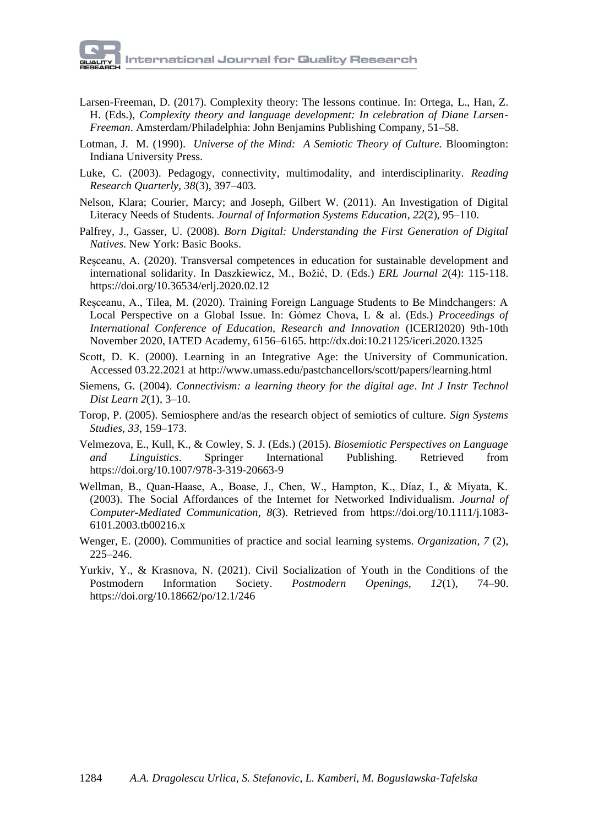- Larsen-Freeman, D. (2017). Complexity theory: The lessons continue. In: Ortega, L., Han, Z. H. (Eds.), *Complexity theory and language development: In celebration of Diane Larsen-Freeman*. Amsterdam/Philadelphia: John Benjamins Publishing Company, 51–58.
- Lotman, J. M. (1990). *Universe of the Mind: A Semiotic Theory of Culture.* Bloomington: Indiana University Press.
- Luke, C. (2003). Pedagogy, connectivity, multimodality, and interdisciplinarity. *Reading Research Quarterly, 38*(3), 397–403.
- Nelson, Klara; Courier, Marcy; and Joseph, Gilbert W. (2011). An Investigation of Digital Literacy Needs of Students. *Journal of Information Systems Education, 22*(2), 95–110.
- Palfrey, J., Gasser, U. (2008). *Born Digital: Understanding the First Generation of Digital Natives*. New York: Basic Books.
- Reșceanu, A. (2020). Transversal competences in education for sustainable development and international solidarity. In Daszkiewicz, M., Božić, D. (Eds.) *ERL Journal 2*(4): 115-118. <https://doi.org/10.36534/erlj.2020.02.12>
- Reșceanu, A., Tilea, M. (2020). Training Foreign Language Students to Be Mindchangers: A Local Perspective on a Global Issue. In: Gómez Chova, L & al. (Eds.) *Proceedings of International Conference of Education, Research and Innovation* (ICERI2020) 9th-10th November 2020, IATED Academy, 6156–6165. <http://dx.doi:10.21125/iceri.2020.1325>
- Scott, D. K. (2000). Learning in an Integrative Age: the University of Communication. Accessed 03.22.2021 a[t http://www.umass.edu/pastchancellors/scott/papers/learning.html](http://www.umass.edu/pastchancellors/scott/papers/learning.html)
- Siemens, G. (2004). *Connectivism: a learning theory for the digital age*. *Int J Instr Technol Dist Learn 2*(1), 3–10.
- Torop, P. (2005). Semiosphere and/as the research object of semiotics of culture. *Sign Systems Studies, 33*, 159–173.
- Velmezova, E., Kull, K., & Cowley, S. J. (Eds.) (2015). *Biosemiotic Perspectives on Language and Linguistics*. Springer International Publishing. Retrieved from <https://doi.org/10.1007/978-3-319-20663-9>
- Wellman, B., Quan-Haase, A., Boase, J., Chen, W., Hampton, K., Díaz, I., & Miyata, K. (2003). The Social Affordances of the Internet for Networked Individualism. *Journal of Computer-Mediated Communication, 8*(3). Retrieved from [https://doi.org/10.1111/j.1083-](https://doi.org/10.1111/j.1083-6101.2003.tb00216.x) [6101.2003.tb00216.x](https://doi.org/10.1111/j.1083-6101.2003.tb00216.x)
- Wenger, E. (2000). Communities of practice and social learning systems. *Organization, 7* (2), 225–246.
- Yurkiv, Y., & Krasnova, N. (2021). Civil Socialization of Youth in the Conditions of the Postmodern Information Society. *Postmodern Openings, 12*(1), 74–90. <https://doi.org/10.18662/po/12.1/246>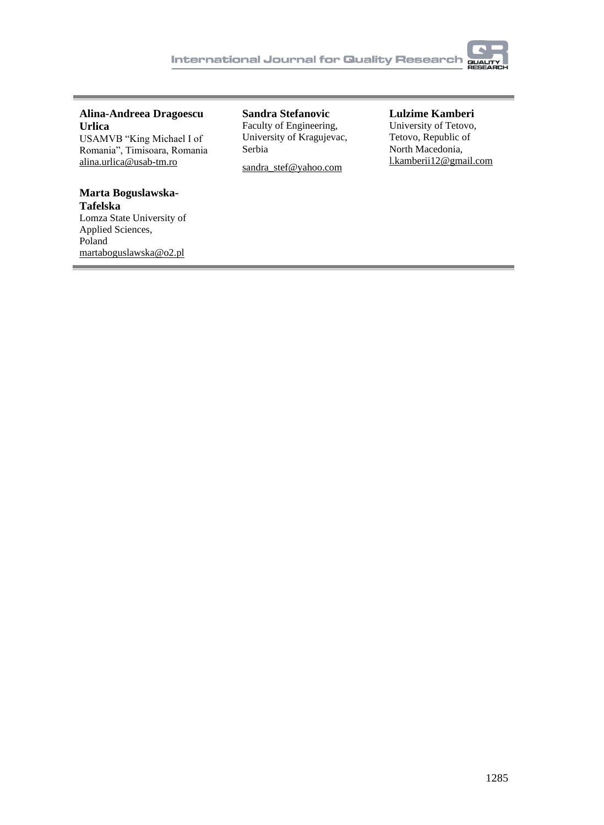

#### **Alina-Andreea Dragoescu Urlica** USAMVB "King Michael I of

Romania", Timisoara, Romania [alina.urlica@usab-tm.ro](mailto:alina.urlica@usab-tm.ro)

# **Marta Boguslawska-**

**Tafelska** Lomza State University of Applied Sciences, Poland [martaboguslawska@o2.pl](mailto:martaboguslawska@o2.pl)

**Sandra Stefanovic** Faculty of Engineering, University of Kragujevac, Serbia

[sandra\\_stef@yahoo.com](mailto:sandra_stef@yahoo.com)

#### **Lulzime Kamberi**

University of Tetovo, Tetovo, Republic of North Macedonia, [l.kamberii12@gmail.com](mailto:l.kamberii12@gmail.com)